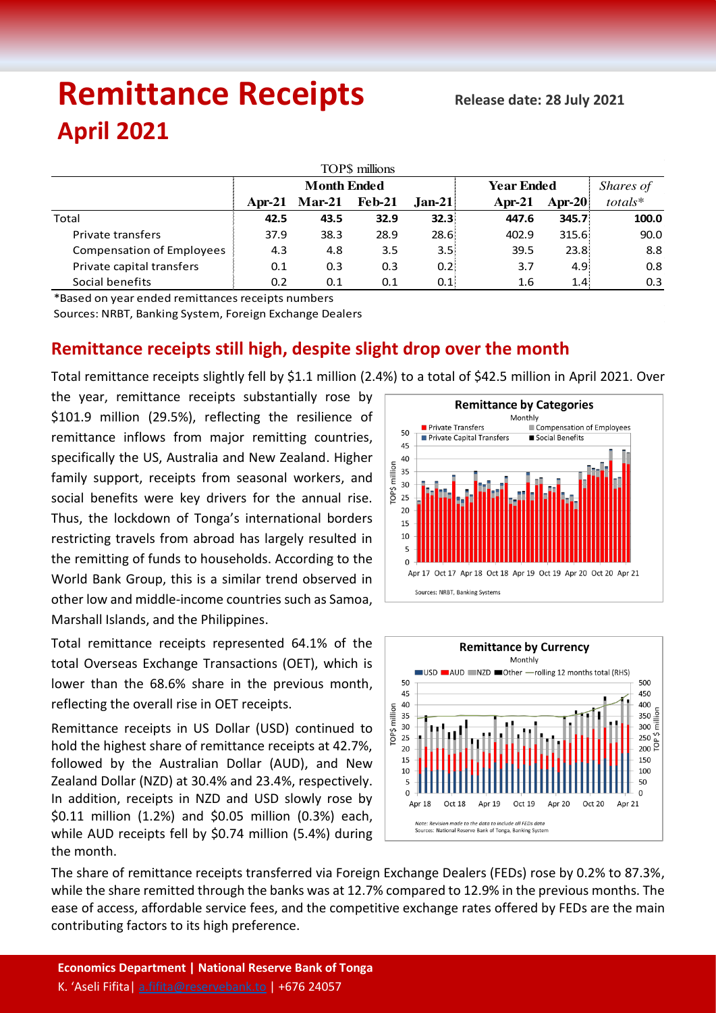# Remittance Receipts Release date: 28 July 2021 **April 2021**

| TOP\$ millions                   |                    |          |               |          |                   |        |           |  |  |  |  |
|----------------------------------|--------------------|----------|---------------|----------|-------------------|--------|-----------|--|--|--|--|
|                                  | <b>Month Ended</b> |          |               |          | <b>Year Ended</b> |        | Shares of |  |  |  |  |
|                                  | Apr-21             | $Mar-21$ | <b>Feb-21</b> | $Jan-21$ | Apr-21            | Apr-20 | totals*   |  |  |  |  |
| Total                            | 42.5               | 43.5     | 32.9          | 32.3%    | 447.6             | 345.7  | 100.0     |  |  |  |  |
| Private transfers                | 37.9               | 38.3     | 28.9          | 28.6%    | 402.9             | 315.6  | 90.0      |  |  |  |  |
| <b>Compensation of Employees</b> | 4.3                | 4.8      | 3.5           | 3.5%     | 39.5              | 23.8:  | 8.8       |  |  |  |  |
| Private capital transfers        | 0.1                | 0.3      | 0.3           | 0.21     | 3.7               | 4.9:   | 0.8       |  |  |  |  |
| Social benefits                  | 0.2                | 0.1      | 0.1           | 0.1      | 1.6               | 1.4:   | 0.3       |  |  |  |  |

\*Based on year ended remittances receipts numbers

Sources: NRBT, Banking System, Foreign Exchange Dealers

## **Remittance receipts still high, despite slight drop over the month**

Total remittance receipts slightly fell by \$1.1 million (2.4%) to a total of \$42.5 million in April 2021. Over

the year, remittance receipts substantially rose by \$101.9 million (29.5%), reflecting the resilience of remittance inflows from major remitting countries, specifically the US, Australia and New Zealand. Higher family support, receipts from seasonal workers, and social benefits were key drivers for the annual rise. Thus, the lockdown of Tonga's international borders restricting travels from abroad has largely resulted in the remitting of funds to households. According to the World Bank Group, this is a similar trend observed in other low and middle-income countries such as Samoa, Marshall Islands, and the Philippines.

Total remittance receipts represented 64.1% of the total Overseas Exchange Transactions (OET), which is lower than the 68.6% share in the previous month, reflecting the overall rise in OET receipts.

Remittance receipts in US Dollar (USD) continued to hold the highest share of remittance receipts at 42.7%, followed by the Australian Dollar (AUD), and New Zealand Dollar (NZD) at 30.4% and 23.4%, respectively. In addition, receipts in NZD and USD slowly rose by \$0.11 million (1.2%) and \$0.05 million (0.3%) each, while AUD receipts fell by \$0.74 million (5.4%) during the month.





The share of remittance receipts transferred via Foreign Exchange Dealers (FEDs) rose by 0.2% to 87.3%, while the share remitted through the banks was at 12.7% compared to 12.9% in the previous months. The ease of access, affordable service fees, and the competitive exchange rates offered by FEDs are the main contributing factors to its high preference.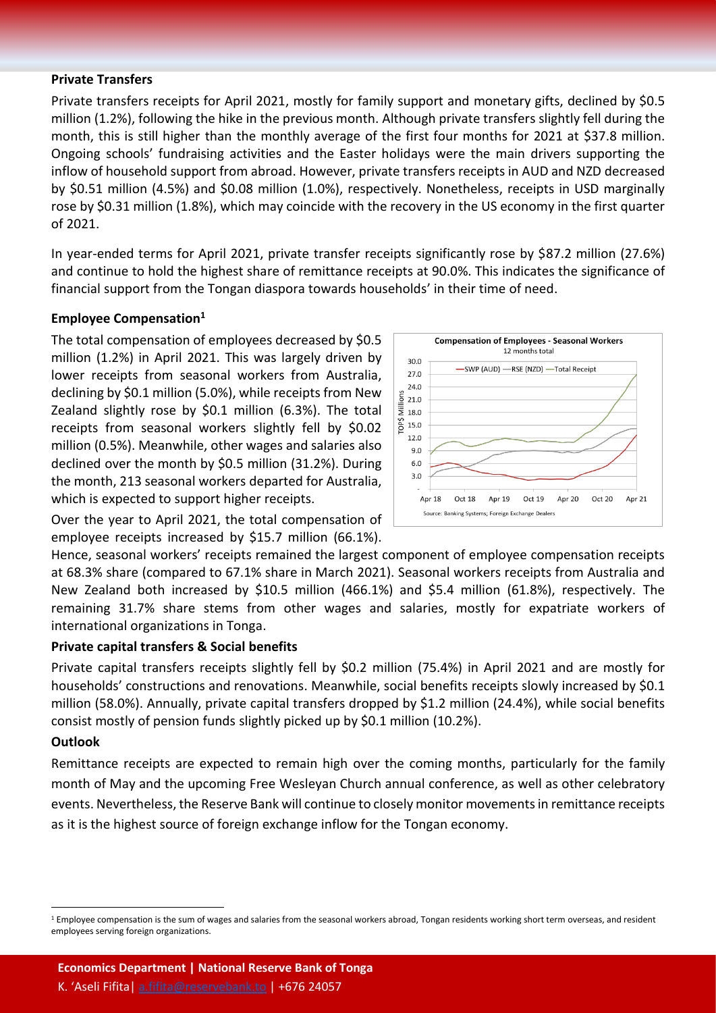#### **Private Transfers**

Private transfers receipts for April 2021, mostly for family support and monetary gifts, declined by \$0.5 million (1.2%), following the hike in the previous month. Although private transfers slightly fell during the month, this is still higher than the monthly average of the first four months for 2021 at \$37.8 million. Ongoing schools' fundraising activities and the Easter holidays were the main drivers supporting the inflow of household support from abroad. However, private transfers receipts in AUD and NZD decreased by \$0.51 million (4.5%) and \$0.08 million (1.0%), respectively. Nonetheless, receipts in USD marginally rose by \$0.31 million (1.8%), which may coincide with the recovery in the US economy in the first quarter of 2021.

In year-ended terms for April 2021, private transfer receipts significantly rose by \$87.2 million (27.6%) and continue to hold the highest share of remittance receipts at 90.0%. This indicates the significance of financial support from the Tongan diaspora towards households' in their time of need.

#### **Employee Compensation1**

The total compensation of employees decreased by \$0.5 million (1.2%) in April 2021. This was largely driven by lower receipts from seasonal workers from Australia, declining by \$0.1 million (5.0%), while receipts from New Zealand slightly rose by \$0.1 million (6.3%). The total receipts from seasonal workers slightly fell by \$0.02 million (0.5%). Meanwhile, other wages and salaries also declined over the month by \$0.5 million (31.2%). During the month, 213 seasonal workers departed for Australia, which is expected to support higher receipts.



Over the year to April 2021, the total compensation of employee receipts increased by \$15.7 million (66.1%).

Hence, seasonal workers' receipts remained the largest component of employee compensation receipts at 68.3% share (compared to 67.1% share in March 2021). Seasonal workers receipts from Australia and New Zealand both increased by \$10.5 million (466.1%) and \$5.4 million (61.8%), respectively. The remaining 31.7% share stems from other wages and salaries, mostly for expatriate workers of international organizations in Tonga.

#### **Private capital transfers & Social benefits**

Private capital transfers receipts slightly fell by \$0.2 million (75.4%) in April 2021 and are mostly for households' constructions and renovations. Meanwhile, social benefits receipts slowly increased by \$0.1 million (58.0%). Annually, private capital transfers dropped by \$1.2 million (24.4%), while social benefits consist mostly of pension funds slightly picked up by \$0.1 million (10.2%).

#### **Outlook**

Remittance receipts are expected to remain high over the coming months, particularly for the family month of May and the upcoming Free Wesleyan Church annual conference, as well as other celebratory events. Nevertheless, the Reserve Bank will continue to closely monitor movementsin remittance receipts as it is the highest source of foreign exchange inflow for the Tongan economy.

<sup>&</sup>lt;sup>1</sup> Employee compensation is the sum of wages and salaries from the seasonal workers abroad, Tongan residents working short term overseas, and resident employees serving foreign organizations.